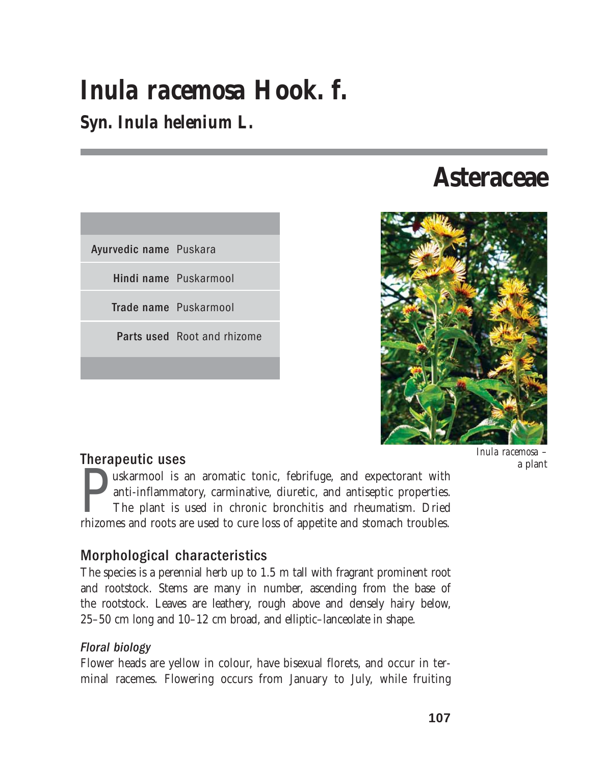# *Inula racemosa* **Hook. f.**

## **Syn.** *Inula helenium* **L.**

| Ayurvedic name Puskara             |
|------------------------------------|
| Hindi name Puskarmool              |
| Trade name Puskarmool              |
| <b>Parts used</b> Root and rhizome |
|                                    |
|                                    |

## **Asteraceae**



#### Therapeutic uses

uskarmool is an aromatic tonic, febrifuge, and expectorant with anti-inflammatory, carminative, diuretic, and antiseptic properties. The plant is used in chronic bronchitis and rheumatism. Dried rhizomes and roots are used to cure loss of appetite and stomach troubles.

#### Morphological characteristics

The species is a perennial herb up to 1.5 m tall with fragrant prominent root and rootstock. Stems are many in number, ascending from the base of the rootstock. Leaves are leathery, rough above and densely hairy below, 25–50 cm long and 10–12 cm broad, and elliptic–lanceolate in shape.

#### Floral biology

Flower heads are yellow in colour, have bisexual florets, and occur in terminal racemes. Flowering occurs from January to July, while fruiting *Inula racemosa* – a plant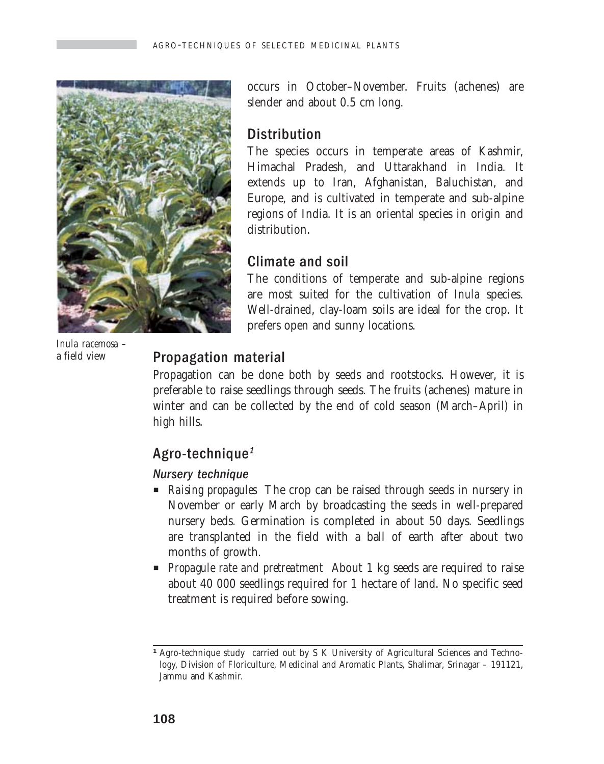

*Inula racemosa –* a field view

occurs in October–November. Fruits (achenes) are slender and about 0.5 cm long.

#### **Distribution**

The species occurs in temperate areas of Kashmir, Himachal Pradesh, and Uttarakhand in India. It extends up to Iran, Afghanistan, Baluchistan, and Europe, and is cultivated in temperate and sub-alpine regions of India. It is an oriental species in origin and distribution.

### Climate and soil

The conditions of temperate and sub-alpine regions are most suited for the cultivation of *Inula* species. Well-drained, clay-loam soils are ideal for the crop. It prefers open and sunny locations.

## Propagation material

Propagation can be done both by seeds and rootstocks. However, it is preferable to raise seedlings through seeds. The fruits (achenes) mature in winter and can be collected by the end of cold season (March–April) in high hills.

## Agro-technique<sup>1</sup>

#### Nursery technique

- **P** *Raising propagules* The crop can be raised through seeds in nursery in November or early March by broadcasting the seeds in well-prepared nursery beds. Germination is completed in about 50 days. Seedlings are transplanted in the field with a ball of earth after about two months of growth.
- **Propagule rate and pretreatment** About 1 kg seeds are required to raise about 40 000 seedlings required for 1 hectare of land. No specific seed treatment is required before sowing.

<sup>&</sup>lt;sup>1</sup> Agro-technique study carried out by S K University of Agricultural Sciences and Technology, Division of Floriculture, Medicinal and Aromatic Plants, Shalimar, Srinagar – 191121, Jammu and Kashmir.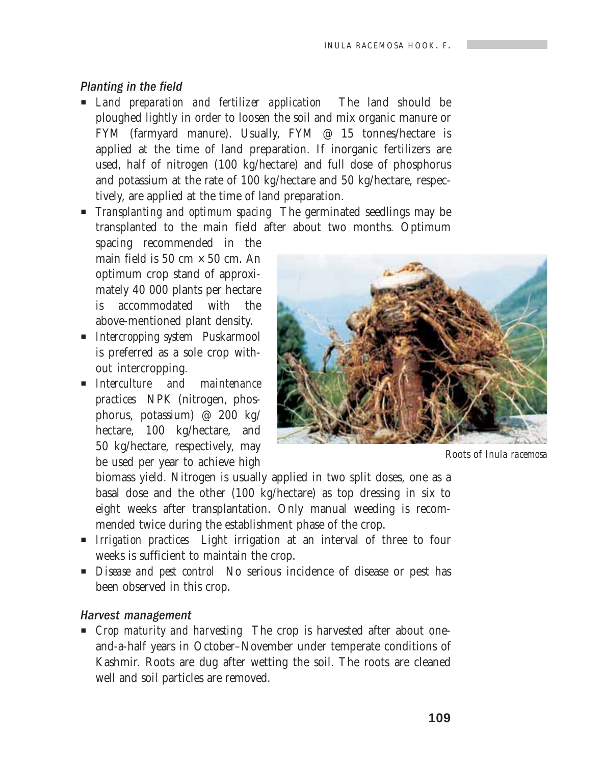#### Planting in the field

- P *Land preparation and fertilizer application* The land should be ploughed lightly in order to loosen the soil and mix organic manure or FYM (farmyard manure). Usually, FYM @ 15 tonnes/hectare is applied at the time of land preparation. If inorganic fertilizers are used, half of nitrogen (100 kg/hectare) and full dose of phosphorus and potassium at the rate of 100 kg/hectare and 50 kg/hectare, respectively, are applied at the time of land preparation.
- P *Transplanting and optimum spacing* The germinated seedlings may be transplanted to the main field after about two months. Optimum

spacing recommended in the main field is 50 cm  $\times$  50 cm. An optimum crop stand of approximately 40 000 plants per hectare is accommodated with the above-mentioned plant density.

- **P** *Intercropping system* Puskarmool is preferred as a sole crop without intercropping.
- P *Interculture and maintenance practices* NPK (nitrogen, phosphorus, potassium) @ 200 kg/ hectare, 100 kg/hectare, and 50 kg/hectare, respectively, may be used per year to achieve high



Roots of *Inula racemosa*

biomass yield. Nitrogen is usually applied in two split doses, one as a basal dose and the other (100 kg/hectare) as top dressing in six to eight weeks after transplantation. Only manual weeding is recommended twice during the establishment phase of the crop.

- **P** *Irrigation practices* Light irrigation at an interval of three to four weeks is sufficient to maintain the crop.
- **P** *Disease and pest control* No serious incidence of disease or pest has been observed in this crop.

#### Harvest management

**P** *Crop maturity and harvesting* The crop is harvested after about oneand-a-half years in October–November under temperate conditions of Kashmir. Roots are dug after wetting the soil. The roots are cleaned well and soil particles are removed.